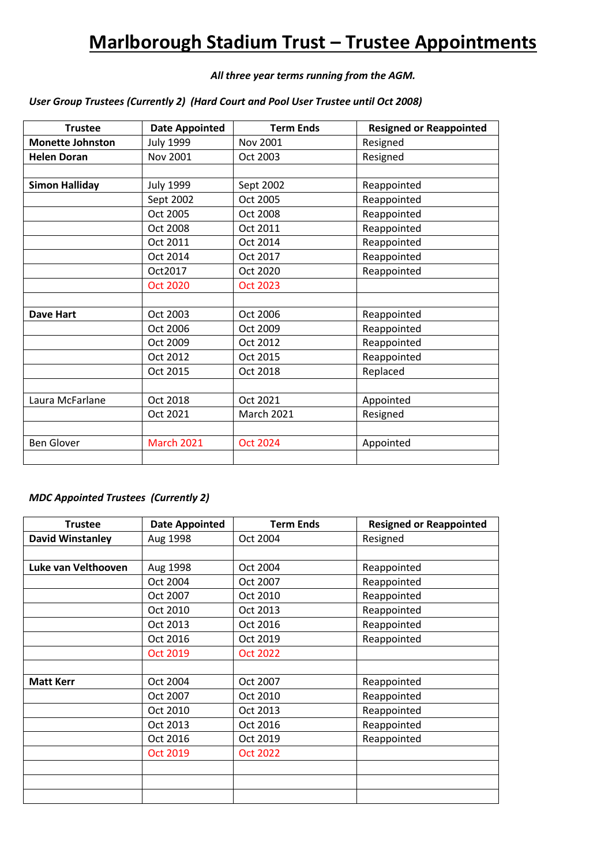## **Marlborough Stadium Trust – Trustee Appointments**

## *All three year terms running from the AGM.*

## *User Group Trustees (Currently 2) (Hard Court and Pool User Trustee until Oct 2008)*

| <b>Trustee</b>          | <b>Date Appointed</b> | <b>Term Ends</b>  | <b>Resigned or Reappointed</b> |
|-------------------------|-----------------------|-------------------|--------------------------------|
| <b>Monette Johnston</b> | <b>July 1999</b>      | Nov 2001          | Resigned                       |
| <b>Helen Doran</b>      | Nov 2001              | Oct 2003          | Resigned                       |
|                         |                       |                   |                                |
| <b>Simon Halliday</b>   | <b>July 1999</b>      | Sept 2002         | Reappointed                    |
|                         | Sept 2002             | Oct 2005          | Reappointed                    |
|                         | Oct 2005              | Oct 2008          | Reappointed                    |
|                         | Oct 2008              | Oct 2011          | Reappointed                    |
|                         | Oct 2011              | Oct 2014          | Reappointed                    |
|                         | Oct 2014              | Oct 2017          | Reappointed                    |
|                         | Oct2017               | Oct 2020          | Reappointed                    |
|                         | <b>Oct 2020</b>       | <b>Oct 2023</b>   |                                |
|                         |                       |                   |                                |
| <b>Dave Hart</b>        | Oct 2003              | Oct 2006          | Reappointed                    |
|                         | Oct 2006              | Oct 2009          | Reappointed                    |
|                         | Oct 2009              | Oct 2012          | Reappointed                    |
|                         | Oct 2012              | Oct 2015          | Reappointed                    |
|                         | Oct 2015              | Oct 2018          | Replaced                       |
|                         |                       |                   |                                |
| Laura McFarlane         | Oct 2018              | Oct 2021          | Appointed                      |
|                         | Oct 2021              | <b>March 2021</b> | Resigned                       |
|                         |                       |                   |                                |
| <b>Ben Glover</b>       | <b>March 2021</b>     | <b>Oct 2024</b>   | Appointed                      |
|                         |                       |                   |                                |

## *MDC Appointed Trustees (Currently 2)*

| <b>Trustee</b>          | <b>Date Appointed</b> | <b>Term Ends</b> | <b>Resigned or Reappointed</b> |
|-------------------------|-----------------------|------------------|--------------------------------|
| <b>David Winstanley</b> | Aug 1998              | Oct 2004         | Resigned                       |
|                         |                       |                  |                                |
| Luke van Velthooven     | Aug 1998              | Oct 2004         | Reappointed                    |
|                         | Oct 2004              | Oct 2007         | Reappointed                    |
|                         | Oct 2007              | Oct 2010         | Reappointed                    |
|                         | Oct 2010              | Oct 2013         | Reappointed                    |
|                         | Oct 2013              | Oct 2016         | Reappointed                    |
|                         | Oct 2016              | Oct 2019         | Reappointed                    |
|                         | <b>Oct 2019</b>       | <b>Oct 2022</b>  |                                |
|                         |                       |                  |                                |
| <b>Matt Kerr</b>        | Oct 2004              | Oct 2007         | Reappointed                    |
|                         | Oct 2007              | Oct 2010         | Reappointed                    |
|                         | Oct 2010              | Oct 2013         | Reappointed                    |
|                         | Oct 2013              | Oct 2016         | Reappointed                    |
|                         | Oct 2016              | Oct 2019         | Reappointed                    |
|                         | Oct 2019              | <b>Oct 2022</b>  |                                |
|                         |                       |                  |                                |
|                         |                       |                  |                                |
|                         |                       |                  |                                |